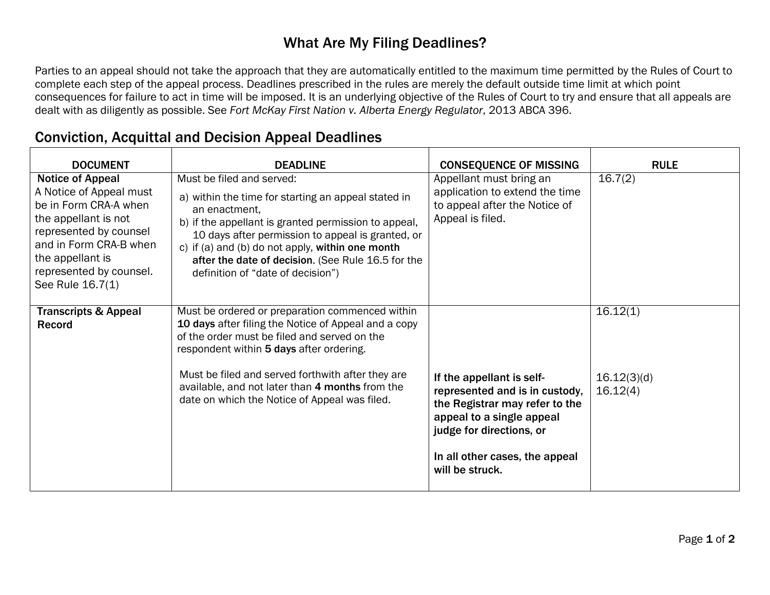## What Are My Filing Deadlines?

Parties to an appeal should not take the approach that they are automatically entitled to the maximum time permitted by the Rules of Court to complete each step of the appeal process. Deadlines prescribed in the rules are merely the default outside time limit at which point consequences for failure to act in time will be imposed. It is an underlying objective of the Rules of Court to try and ensure that all appeals are dealt with as diligently as possible. See *Fort McKay First Nation v. Alberta Energy Regulator*, 2013 ABCA 396.

| <b>DOCUMENT</b>                                                                                                                                                                                                            | <b>DEADLINE</b>                                                                                                                                                                                                                                                                                                                                               | <b>CONSEQUENCE OF MISSING</b>                                                                                                                                                            | <b>RULE</b>                         |
|----------------------------------------------------------------------------------------------------------------------------------------------------------------------------------------------------------------------------|---------------------------------------------------------------------------------------------------------------------------------------------------------------------------------------------------------------------------------------------------------------------------------------------------------------------------------------------------------------|------------------------------------------------------------------------------------------------------------------------------------------------------------------------------------------|-------------------------------------|
| <b>Notice of Appeal</b><br>A Notice of Appeal must<br>be in Form CRA-A when<br>the appellant is not<br>represented by counsel<br>and in Form CRA-B when<br>the appellant is<br>represented by counsel.<br>See Rule 16.7(1) | Must be filed and served:<br>a) within the time for starting an appeal stated in<br>an enactment.<br>b) if the appellant is granted permission to appeal,<br>10 days after permission to appeal is granted, or<br>c) if (a) and (b) do not apply, within one month<br>after the date of decision. (See Rule 16.5 for the<br>definition of "date of decision") | Appellant must bring an<br>application to extend the time<br>to appeal after the Notice of<br>Appeal is filed.                                                                           | 16.7(2)                             |
| <b>Transcripts &amp; Appeal</b><br>Record                                                                                                                                                                                  | Must be ordered or preparation commenced within<br>10 days after filing the Notice of Appeal and a copy<br>of the order must be filed and served on the<br>respondent within 5 days after ordering.<br>Must be filed and served forthwith after they are<br>available, and not later than 4 months from the<br>date on which the Notice of Appeal was filed.  | If the appellant is self-<br>represented and is in custody,<br>the Registrar may refer to the<br>appeal to a single appeal<br>judge for directions, or<br>In all other cases, the appeal | 16.12(1)<br>16.12(3)(d)<br>16.12(4) |
|                                                                                                                                                                                                                            |                                                                                                                                                                                                                                                                                                                                                               | will be struck.                                                                                                                                                                          |                                     |

## Conviction, Acquittal and Decision Appeal Deadlines